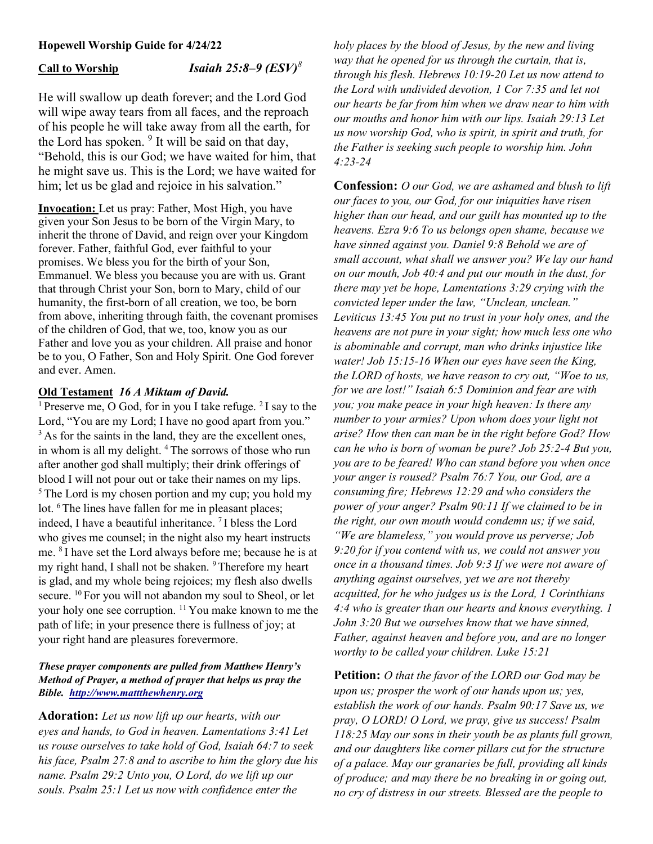# Hopewell Worship Guide for 4/24/22

Call to Worship Isaiah 25:8–9  $(ESV)^8$ 

He will swallow up death forever; and the Lord God will wipe away tears from all faces, and the reproach of his people he will take away from all the earth, for the Lord has spoken.  $9$  It will be said on that day, "Behold, this is our God; we have waited for him, that he might save us. This is the Lord; we have waited for him; let us be glad and rejoice in his salvation."

Invocation: Let us pray: Father, Most High, you have given your Son Jesus to be born of the Virgin Mary, to inherit the throne of David, and reign over your Kingdom forever. Father, faithful God, ever faithful to your promises. We bless you for the birth of your Son, Emmanuel. We bless you because you are with us. Grant that through Christ your Son, born to Mary, child of our humanity, the first-born of all creation, we too, be born from above, inheriting through faith, the covenant promises of the children of God, that we, too, know you as our Father and love you as your children. All praise and honor be to you, O Father, Son and Holy Spirit. One God forever and ever. Amen.

# Old Testament 16 A Miktam of David.

<sup>1</sup> Preserve me, O God, for in you I take refuge. <sup>2</sup> I say to the Lord, "You are my Lord; I have no good apart from you." <sup>3</sup> As for the saints in the land, they are the excellent ones, in whom is all my delight. <sup>4</sup> The sorrows of those who run after another god shall multiply; their drink offerings of blood I will not pour out or take their names on my lips.  $5$ The Lord is my chosen portion and my cup; you hold my lot. <sup>6</sup>The lines have fallen for me in pleasant places; indeed, I have a beautiful inheritance. <sup>7</sup>I bless the Lord who gives me counsel; in the night also my heart instructs me. <sup>8</sup>I have set the Lord always before me; because he is at my right hand, I shall not be shaken. <sup>9</sup>Therefore my heart is glad, and my whole being rejoices; my flesh also dwells secure. <sup>10</sup> For you will not abandon my soul to Sheol, or let your holy one see corruption. <sup>11</sup>You make known to me the path of life; in your presence there is fullness of joy; at your right hand are pleasures forevermore.

## These prayer components are pulled from Matthew Henry's Method of Prayer, a method of prayer that helps us pray the Bible. http://www.mattthewhenry.org

Adoration: Let us now lift up our hearts, with our eyes and hands, to God in heaven. Lamentations 3:41 Let us rouse ourselves to take hold of God, Isaiah 64:7 to seek his face, Psalm 27:8 and to ascribe to him the glory due his name. Psalm 29:2 Unto you, O Lord, do we lift up our souls. Psalm 25:1 Let us now with confidence enter the

holy places by the blood of Jesus, by the new and living way that he opened for us through the curtain, that is, through his flesh. Hebrews 10:19-20 Let us now attend to the Lord with undivided devotion, 1 Cor 7:35 and let not our hearts be far from him when we draw near to him with our mouths and honor him with our lips. Isaiah 29:13 Let us now worship God, who is spirit, in spirit and truth, for the Father is seeking such people to worship him. John 4:23-24

Confession: *O our God, we are ashamed and blush to lift* our faces to you, our God, for our iniquities have risen higher than our head, and our guilt has mounted up to the heavens. Ezra 9:6 To us belongs open shame, because we have sinned against you. Daniel 9:8 Behold we are of small account, what shall we answer you? We lay our hand on our mouth, Job 40:4 and put our mouth in the dust, for there may yet be hope, Lamentations 3:29 crying with the convicted leper under the law, "Unclean, unclean." Leviticus 13:45 You put no trust in your holy ones, and the heavens are not pure in your sight; how much less one who is abominable and corrupt, man who drinks injustice like water! Job 15:15-16 When our eyes have seen the King, the LORD of hosts, we have reason to cry out, "Woe to us, for we are lost!" Isaiah 6:5 Dominion and fear are with you; you make peace in your high heaven: Is there any number to your armies? Upon whom does your light not arise? How then can man be in the right before God? How can he who is born of woman be pure? Job 25:2-4 But you, you are to be feared! Who can stand before you when once your anger is roused? Psalm 76:7 You, our God, are a consuming fire; Hebrews 12:29 and who considers the power of your anger? Psalm 90:11 If we claimed to be in the right, our own mouth would condemn us; if we said, "We are blameless," you would prove us perverse; Job 9:20 for if you contend with us, we could not answer you once in a thousand times. Job 9:3 If we were not aware of anything against ourselves, yet we are not thereby acquitted, for he who judges us is the Lord, 1 Corinthians 4:4 who is greater than our hearts and knows everything. 1 John 3:20 But we ourselves know that we have sinned, Father, against heaven and before you, and are no longer worthy to be called your children. Luke 15:21

**Petition:** *O that the favor of the LORD our God may be* upon us; prosper the work of our hands upon us; yes, establish the work of our hands. Psalm 90:17 Save us, we pray, O LORD! O Lord, we pray, give us success! Psalm 118:25 May our sons in their youth be as plants full grown, and our daughters like corner pillars cut for the structure of a palace. May our granaries be full, providing all kinds of produce; and may there be no breaking in or going out, no cry of distress in our streets. Blessed are the people to